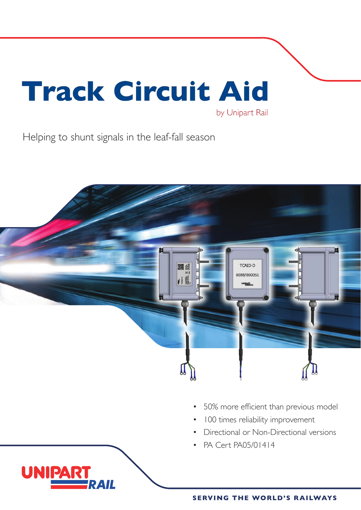# **Track Circuit Aid** by Unipart Rail

Helping to shunt signals in the leaf-fall season

**UNIPA** 



- 50% more efficient than previous model
- 100 times reliability improvement
- Directional or Non-Directional versions
- PA Cert PA05/01414

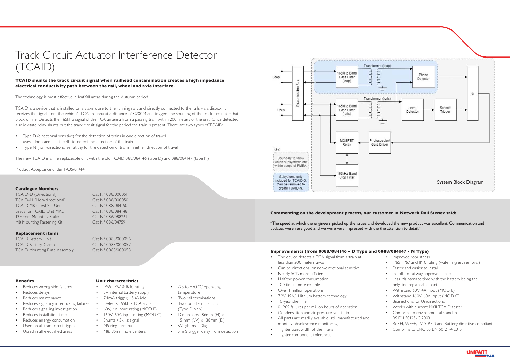# Track Circuit Actuator Interference Detector (TCAID)

### **TCAID shunts the track circuit signal when railhead contamination creates a high impedance electrical conductivity path between the rail, wheel and axle interface.**

The technology is most effective in leaf fall areas during the Autumn period.

TCAID is a device that is installed on a stake close to the running rails and directly connected to the rails via a disbox. It receives the signal from the vehicle's TCA antenna at a distance of <200M and triggers the shunting of the track circuit for that block of line. Detects the 165kHz signal of the TCA antenna from a passing train within 200 meters of the unit. Once detected a solid-state relay shunts out the track circuit signal for the period the train is present. There are two types of TCAID:

- Type D (directional sensitive) for the detection of trains in one direction of travel. uses a loop aerial in the 4ft to detect the direction of the train
- Type N (non-directional sensitive) for the detection of trains in either direction of travel

The new TCAID is a line replaceable unit with the old TCAID 088/084146 (type D) and 088/084147 (type N)

Product Acceptance under PA05/01414

#### **Catalogue Numbers**

TCAID-D (Directional) Cat N° 088/000051 TCAID-N (Non-directional) Cat N° 088/000050 TCAID MK2 Test Set Unit Cat N° 088/084150 Leads for TCAID Unit MK2 Cat N° 088/084148 1370mm Mounting Stake Cat N° 086/088261 M8 Mounting Fastening Kit Cat N° 086/047591

#### **Replacement items**

TCAID Battery Unit Cat N° 0088/000056 TCAID Battery Clamp Cat N° 0088/000057

- -25 to +70 °C operating temperature
- Two rail terminations
- Two loop terminations (Type D only)
- Dimensions 186mm (H) x 151mm (W) x 138mm (D)
- Weight max 3kg
- 91mS trigger delay from detection

# TCAID Mounting Plate Assembly Cat N° 0088/000058 **Improvements (from 0088/084146 - D Type and 0088/084147 - N Type)**

- Reduces wrong side failures
- Reduces delays
- Reduces maintenance
- Reduces signalling interlocking failures
- Reduces signalling investigation
- Reduces installation time
- Reduces energy consumption
- Used on all track circuit types
- Ussed in all electrified areas
- The device detects a TCA signal from a train at less than 200 meters away
- Can be directional or non-directional sensitive
- Nearly 50% more efficient
- Half the power consumption
- 100 times more reliable
- Over 1 million operations
- 7.2V, 19A/H lithium battery technology
- 10-year shelf life
- 0.1209 failures per million hours of operation
- Condensation and air pressure ventilation
- All parts are readily available, still manufactured and monthly obsolescence monitoring
- Tighter bandwidth of the filters
- Tighter component tolerances
- Improved robustness
- IP65, IP67 and IK10 rating (water ingress removal)
- Faster and easier to install
- Installs to railway approved stake
- Less Maintenace time with the battery being the only line replaceable part
- Withstand 60V, 4A input (MOD B)
- Withstand 160V, 60A input (MOD C)
- Bidirectional or Unidirectional
- Works with current MKII TCAID tester
- Conforms to environmental standard BS EN 50125-C:2003.
- RoSH, WEEE, LVD, RED and Battery directive compliant
- Conforms to EMC BS EN 50121-4:2015



- **Unit characteristics**
- IP65, IP67 & IK10 rating
- 5V internal battery supply
- 7.4mA trigger, 45μA idle
- Detects 165kHz TCA signal
- 60V, 4A input rating (MOD B)
- 160V, 60A input rating (MOD C)
- Shunts <3kHz signal
	- M5 ring terminals
	- M8, 85mm hole centers

#### **Benefits**



## **Commenting on the development process, our customer in Network Rail Sussex said:**

"The speed at which the engineers picked up the issues and developed the new product was excellent. Communication and updates were very good and we were very impressed with the the attention to detail."